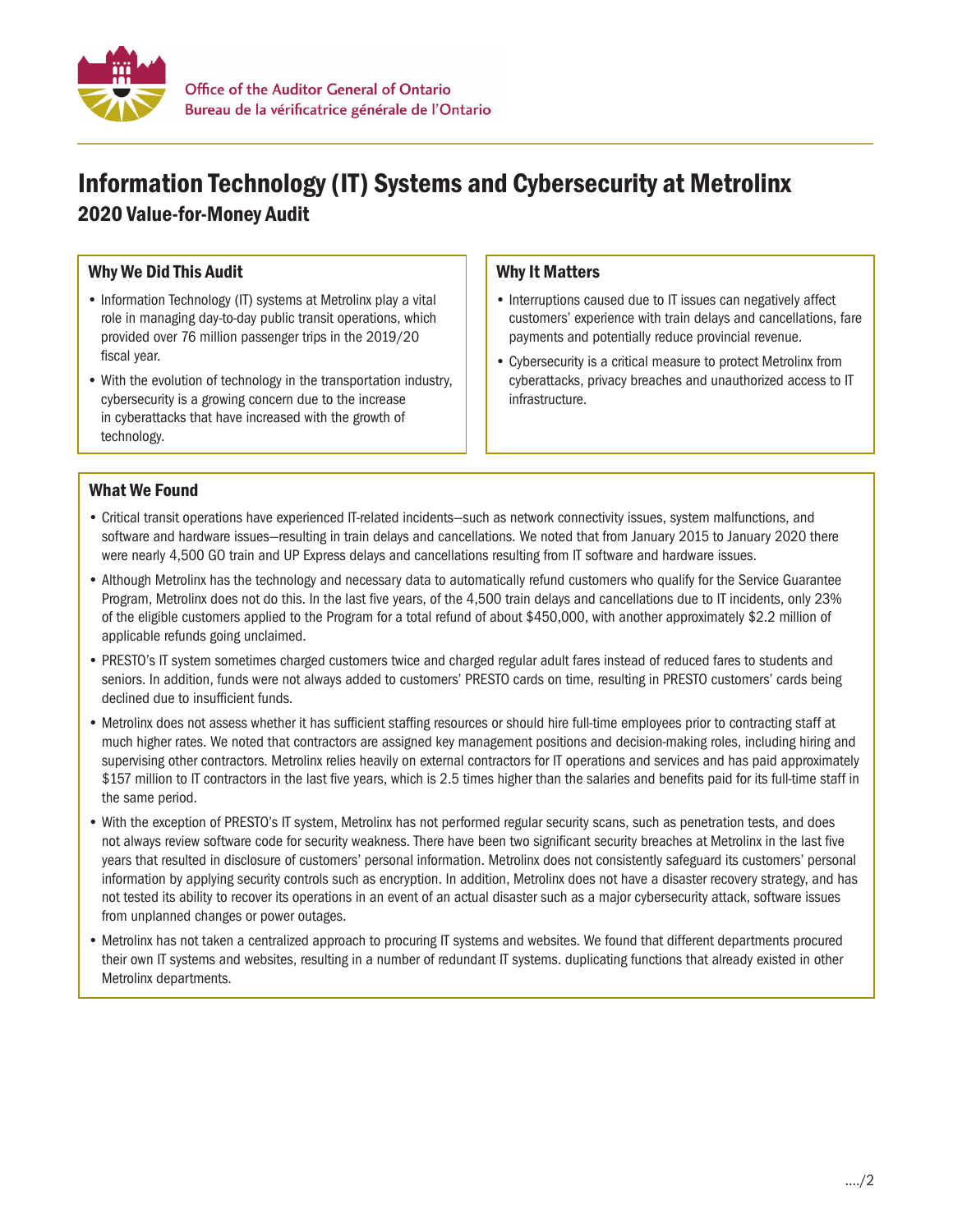

# Information Technology (IT) Systems and Cybersecurity at Metrolinx 2020 Value-for-Money Audit

## Why We Did This Audit

- Information Technology (IT) systems at Metrolinx play a vital role in managing day-to-day public transit operations, which provided over 76 million passenger trips in the 2019/20 fiscal year.
- With the evolution of technology in the transportation industry, cybersecurity is a growing concern due to the increase in cyberattacks that have increased with the growth of technology.

### Why It Matters

- Interruptions caused due to IT issues can negatively affect customers' experience with train delays and cancellations, fare payments and potentially reduce provincial revenue.
- Cybersecurity is a critical measure to protect Metrolinx from cyberattacks, privacy breaches and unauthorized access to IT infrastructure.

## What We Found

- Critical transit operations have experienced IT-related incidents—such as network connectivity issues, system malfunctions, and software and hardware issues—resulting in train delays and cancellations. We noted that from January 2015 to January 2020 there were nearly 4,500 GO train and UP Express delays and cancellations resulting from IT software and hardware issues.
- Although Metrolinx has the technology and necessary data to automatically refund customers who qualify for the Service Guarantee Program, Metrolinx does not do this. In the last five years, of the 4,500 train delays and cancellations due to IT incidents, only 23% of the eligible customers applied to the Program for a total refund of about \$450,000, with another approximately \$2.2 million of applicable refunds going unclaimed.
- PRESTO's IT system sometimes charged customers twice and charged regular adult fares instead of reduced fares to students and seniors. In addition, funds were not always added to customers' PRESTO cards on time, resulting in PRESTO customers' cards being declined due to insufficient funds.
- Metrolinx does not assess whether it has sufficient staffing resources or should hire full-time employees prior to contracting staff at much higher rates. We noted that contractors are assigned key management positions and decision-making roles, including hiring and supervising other contractors. Metrolinx relies heavily on external contractors for IT operations and services and has paid approximately \$157 million to IT contractors in the last five years, which is 2.5 times higher than the salaries and benefits paid for its full-time staff in the same period.
- With the exception of PRESTO's IT system, Metrolinx has not performed regular security scans, such as penetration tests, and does not always review software code for security weakness. There have been two significant security breaches at Metrolinx in the last five years that resulted in disclosure of customers' personal information. Metrolinx does not consistently safeguard its customers' personal information by applying security controls such as encryption. In addition, Metrolinx does not have a disaster recovery strategy, and has not tested its ability to recover its operations in an event of an actual disaster such as a major cybersecurity attack, software issues from unplanned changes or power outages.
- Metrolinx has not taken a centralized approach to procuring IT systems and websites. We found that different departments procured their own IT systems and websites, resulting in a number of redundant IT systems. duplicating functions that already existed in other Metrolinx departments.